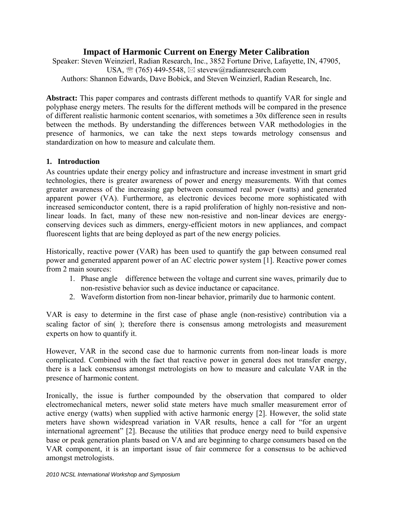# **Impact of Harmonic Current on Energy Meter Calibration**

Speaker: Steven Weinzierl, Radian Research, Inc., 3852 Fortune Drive, Lafayette, IN, 47905, USA,  $\mathcal{B}$  (765) 449-5548,  $\boxtimes$  stevew@radianresearch.com Authors: Shannon Edwards, Dave Bobick, and Steven Weinzierl, Radian Research, Inc.

**Abstract:** This paper compares and contrasts different methods to quantify VAR for single and polyphase energy meters. The results for the different methods will be compared in the presence of different realistic harmonic content scenarios, with sometimes a 30x difference seen in results between the methods. By understanding the differences between VAR methodologies in the presence of harmonics, we can take the next steps towards metrology consensus and standardization on how to measure and calculate them.

### **1. Introduction**

As countries update their energy policy and infrastructure and increase investment in smart grid technologies, there is greater awareness of power and energy measurements. With that comes greater awareness of the increasing gap between consumed real power (watts) and generated apparent power (VA). Furthermore, as electronic devices become more sophisticated with increased semiconductor content, there is a rapid proliferation of highly non-resistive and nonlinear loads. In fact, many of these new non-resistive and non-linear devices are energyconserving devices such as dimmers, energy-efficient motors in new appliances, and compact fluorescent lights that are being deployed as part of the new energy policies.

Historically, reactive power (VAR) has been used to quantify the gap between consumed real power and generated apparent power of an AC electric power system [1]. Reactive power comes from 2 main sources:

- 1. Phase angle difference between the voltage and current sine waves, primarily due to non-resistive behavior such as device inductance or capacitance.
- 2. Waveform distortion from non-linear behavior, primarily due to harmonic content.

VAR is easy to determine in the first case of phase angle (non-resistive) contribution via a scaling factor of sin( ); therefore there is consensus among metrologists and measurement experts on how to quantify it.

However, VAR in the second case due to harmonic currents from non-linear loads is more complicated. Combined with the fact that reactive power in general does not transfer energy, there is a lack consensus amongst metrologists on how to measure and calculate VAR in the presence of harmonic content.

Ironically, the issue is further compounded by the observation that compared to older electromechanical meters, newer solid state meters have much smaller measurement error of active energy (watts) when supplied with active harmonic energy [2]. However, the solid state meters have shown widespread variation in VAR results, hence a call for "for an urgent international agreement" [2]. Because the utilities that produce energy need to build expensive base or peak generation plants based on VA and are beginning to charge consumers based on the VAR component, it is an important issue of fair commerce for a consensus to be achieved amongst metrologists.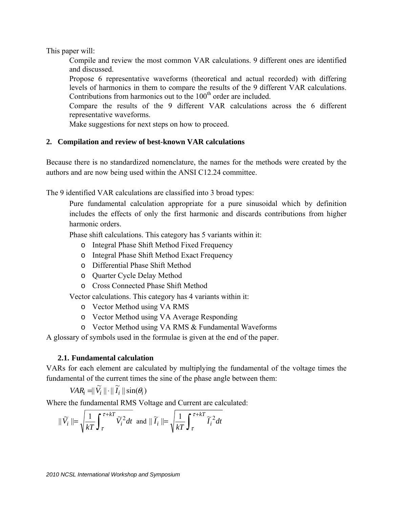This paper will:

Compile and review the most common VAR calculations. 9 different ones are identified and discussed.

Propose 6 representative waveforms (theoretical and actual recorded) with differing levels of harmonics in them to compare the results of the 9 different VAR calculations. Contributions from harmonics out to the  $100<sup>th</sup>$  order are included.

Compare the results of the 9 different VAR calculations across the 6 different representative waveforms.

Make suggestions for next steps on how to proceed.

### **2. Compilation and review of best-known VAR calculations**

Because there is no standardized nomenclature, the names for the methods were created by the authors and are now being used within the ANSI C12.24 committee.

The 9 identified VAR calculations are classified into 3 broad types:

Pure fundamental calculation appropriate for a pure sinusoidal which by definition includes the effects of only the first harmonic and discards contributions from higher harmonic orders.

Phase shift calculations. This category has 5 variants within it:

- o Integral Phase Shift Method Fixed Frequency
- o Integral Phase Shift Method Exact Frequency
- o Differential Phase Shift Method
- o Quarter Cycle Delay Method
- o Cross Connected Phase Shift Method

Vector calculations. This category has 4 variants within it:

- o Vector Method using VA RMS
- o Vector Method using VA Average Responding
- o Vector Method using VA RMS & Fundamental Waveforms

A glossary of symbols used in the formulae is given at the end of the paper.

### **2.1. Fundamental calculation**

VARs for each element are calculated by multiplying the fundamental of the voltage times the fundamental of the current times the sine of the phase angle between them:

$$
VAR_i = ||\widetilde{V}_i|| \cdot ||\widetilde{I}_i||\sin(\theta_i)
$$

Where the fundamental RMS Voltage and Current are calculated:

$$
\|\widetilde{V}_i\| = \sqrt{\frac{1}{kT} \int_{\tau}^{\tau + kT} \widetilde{V}_i^2 dt} \text{ and } \|\widetilde{I}_i\| = \sqrt{\frac{1}{kT} \int_{\tau}^{\tau + kT} \widetilde{I}_i^2 dt}
$$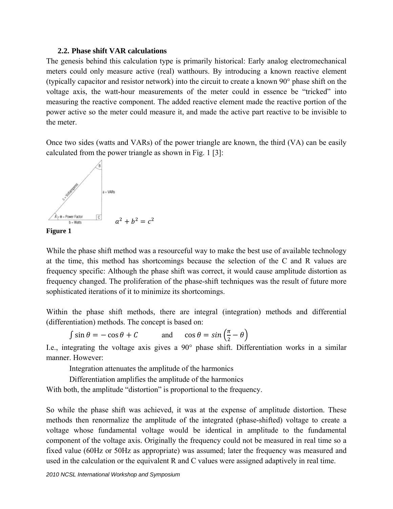#### **2.2. Phase shift VAR calculations**

The genesis behind this calculation type is primarily historical: Early analog electromechanical meters could only measure active (real) watthours. By introducing a known reactive element (typically capacitor and resistor network) into the circuit to create a known 90° phase shift on the voltage axis, the watt-hour measurements of the meter could in essence be "tricked" into measuring the reactive component. The added reactive element made the reactive portion of the power active so the meter could measure it, and made the active part reactive to be invisible to the meter.

Once two sides (watts and VARs) of the power triangle are known, the third (VA) can be easily calculated from the power triangle as shown in Fig. 1 [3]:





While the phase shift method was a resourceful way to make the best use of available technology at the time, this method has shortcomings because the selection of the C and R values are frequency specific: Although the phase shift was correct, it would cause amplitude distortion as frequency changed. The proliferation of the phase-shift techniques was the result of future more sophisticated iterations of it to minimize its shortcomings.

Within the phase shift methods, there are integral (integration) methods and differential (differentiation) methods. The concept is based on:

 $\int \sin \theta = -\cos \theta + C$  and  $\cos \theta = \sin \left(\frac{\pi}{2} - \theta\right)$ 

I.e., integrating the voltage axis gives a 90° phase shift. Differentiation works in a similar manner. However:

Integration attenuates the amplitude of the harmonics

Differentiation amplifies the amplitude of the harmonics

With both, the amplitude "distortion" is proportional to the frequency.

So while the phase shift was achieved, it was at the expense of amplitude distortion. These methods then renormalize the amplitude of the integrated (phase-shifted) voltage to create a voltage whose fundamental voltage would be identical in amplitude to the fundamental component of the voltage axis. Originally the frequency could not be measured in real time so a fixed value (60Hz or 50Hz as appropriate) was assumed; later the frequency was measured and used in the calculation or the equivalent R and C values were assigned adaptively in real time.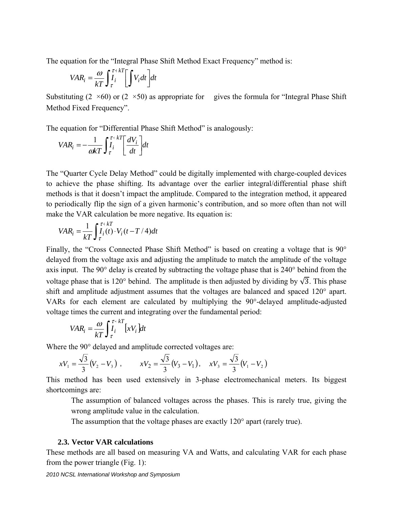The equation for the "Integral Phase Shift Method Exact Frequency" method is:

$$
VAR_i = \frac{\omega}{kT} \int_{\tau}^{\tau + kT} \left[ \int V_i dt \right] dt
$$

Substituting  $(2 \times 60)$  or  $(2 \times 50)$  as appropriate for gives the formula for "Integral Phase Shift" Method Fixed Frequency".

The equation for "Differential Phase Shift Method" is analogously:

$$
VAR_{i} = -\frac{1}{\omega kT} \int_{\tau}^{\tau + kT} \left[ \frac{dV_{i}}{dt} \right] dt
$$

The "Quarter Cycle Delay Method" could be digitally implemented with charge-coupled devices to achieve the phase shifting. Its advantage over the earlier integral/differential phase shift methods is that it doesn't impact the amplitude. Compared to the integration method, it appeared to periodically flip the sign of a given harmonic's contribution, and so more often than not will make the VAR calculation be more negative. Its equation is:

$$
VAR_i = \frac{1}{kT} \int_{\tau}^{\tau + kT} I_i(t) \cdot V_i(t - T/4) dt
$$

Finally, the "Cross Connected Phase Shift Method" is based on creating a voltage that is 90° delayed from the voltage axis and adjusting the amplitude to match the amplitude of the voltage axis input. The 90° delay is created by subtracting the voltage phase that is 240° behind from the voltage phase that is 120° behind. The amplitude is then adjusted by dividing by  $\sqrt{3}$ . This phase shift and amplitude adjustment assumes that the voltages are balanced and spaced 120° apart. VARs for each element are calculated by multiplying the 90°-delayed amplitude-adjusted voltage times the current and integrating over the fundamental period:

$$
VAR_i = \frac{\omega}{kT} \int_{\tau}^{\tau + kT} [xV_i] dt
$$

Where the 90° delayed and amplitude corrected voltages are:

$$
xV_1 = \frac{\sqrt{3}}{3}(V_2 - V_3) , \qquad xV_2 = \frac{\sqrt{3}}{3}(V_3 - V_1) , \quad xV_3 = \frac{\sqrt{3}}{3}(V_1 - V_2)
$$

This method has been used extensively in 3-phase electromechanical meters. Its biggest shortcomings are:

The assumption of balanced voltages across the phases. This is rarely true, giving the wrong amplitude value in the calculation.

The assumption that the voltage phases are exactly 120° apart (rarely true).

#### **2.3. Vector VAR calculations**

These methods are all based on measuring VA and Watts, and calculating VAR for each phase from the power triangle (Fig. 1):

*2010 NCSL International Workshop and Symposium*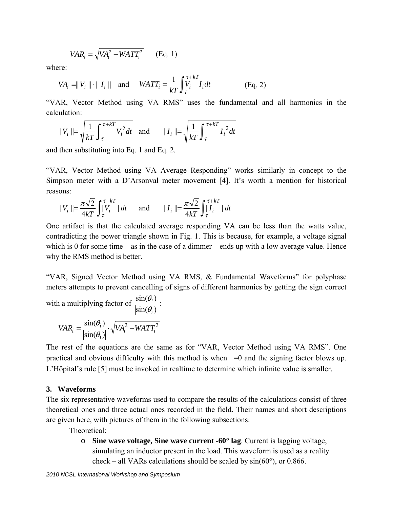$$
VAR_i = \sqrt{VA_i^2 - WATT_i^2}
$$
 (Eq. 1)

where:

$$
VA_i = ||V_i|| \cdot ||I_i|| \quad \text{and} \quad WATT_i = \frac{1}{kT} \int_{\tau}^{\tau + kT} V_i dt \quad \text{(Eq. 2)}
$$

"VAR, Vector Method using VA RMS" uses the fundamental and all harmonics in the calculation:

$$
||V_i|| = \sqrt{\frac{1}{kT} \int_{\tau}^{\tau + kT} V_i^2 dt} \quad \text{and} \quad ||I_i|| = \sqrt{\frac{1}{kT} \int_{\tau}^{\tau + kT} I_i^2 dt}
$$

and then substituting into Eq. 1 and Eq. 2.

"VAR, Vector Method using VA Average Responding" works similarly in concept to the Simpson meter with a D'Arsonval meter movement [4]. It's worth a mention for historical reasons:

$$
||V_i|| = \frac{\pi\sqrt{2}}{4kT} \int_{\tau}^{\tau + kT} |dt \quad \text{and} \quad ||I_i|| = \frac{\pi\sqrt{2}}{4kT} \int_{\tau}^{\tau + kT} |dt
$$

One artifact is that the calculated average responding VA can be less than the watts value, contradicting the power triangle shown in Fig. 1. This is because, for example, a voltage signal which is 0 for some time – as in the case of a dimmer – ends up with a low average value. Hence why the RMS method is better.

"VAR, Signed Vector Method using VA RMS, & Fundamental Waveforms" for polyphase meters attempts to prevent cancelling of signs of different harmonics by getting the sign correct

with a multiplying factor of  $\frac{\sin(\theta_i)}{\sin(\theta_i)}$  $\sin(\theta_i)$ *i i* θ  $\frac{\theta_i}{\theta_i}$ .

$$
VAR_i = \frac{\sin(\theta_i)}{|\sin(\theta_i)|} \cdot \sqrt{VA_i^2 - WATT_i^2}
$$

The rest of the equations are the same as for "VAR, Vector Method using VA RMS". One practical and obvious difficulty with this method is when  $=0$  and the signing factor blows up. L'Hôpital's rule [5] must be invoked in realtime to determine which infinite value is smaller.

#### **3. Waveforms**

The six representative waveforms used to compare the results of the calculations consist of three theoretical ones and three actual ones recorded in the field. Their names and short descriptions are given here, with pictures of them in the following subsections:

Theoretical:

o **Sine wave voltage, Sine wave current -60° lag**. Current is lagging voltage, simulating an inductor present in the load. This waveform is used as a reality check – all VARs calculations should be scaled by  $sin(60^{\circ})$ , or 0.866.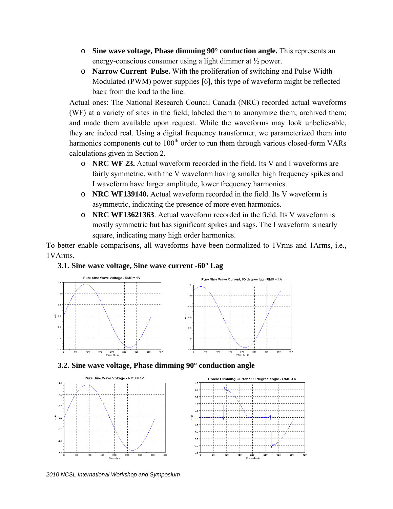- o **Sine wave voltage, Phase dimming 90° conduction angle.** This represents an energy-conscious consumer using a light dimmer at ½ power.
- o **Narrow Current Pulse.** With the proliferation of switching and Pulse Width Modulated (PWM) power supplies [6], this type of waveform might be reflected back from the load to the line.

Actual ones: The National Research Council Canada (NRC) recorded actual waveforms (WF) at a variety of sites in the field; labeled them to anonymize them; archived them; and made them available upon request. While the waveforms may look unbelievable, they are indeed real. Using a digital frequency transformer, we parameterized them into harmonics components out to  $100<sup>th</sup>$  order to run them through various closed-form VARs calculations given in Section 2.

- o **NRC WF 23.** Actual waveform recorded in the field. Its V and I waveforms are fairly symmetric, with the V waveform having smaller high frequency spikes and I waveform have larger amplitude, lower frequency harmonics.
- o **NRC WF139140.** Actual waveform recorded in the field. Its V waveform is asymmetric, indicating the presence of more even harmonics.
- o **NRC WF13621363**. Actual waveform recorded in the field. Its V waveform is mostly symmetric but has significant spikes and sags. The I waveform is nearly square, indicating many high order harmonics.

To better enable comparisons, all waveforms have been normalized to 1Vrms and 1Arms, i.e., 1VArms.

### **3.1. Sine wave voltage, Sine wave current -60° Lag**



**3.2. Sine wave voltage, Phase dimming 90° conduction angle** 



*2010 NCSL International Workshop and Symposium*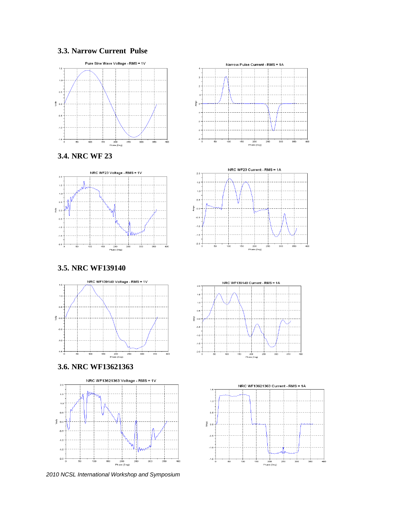### **3.3. Narrow Current Pulse**











### **3.5. NRC WF139140**



#### **3.6. NRC WF13621363**



*2010 NCSL International Workshop and Symposium* 



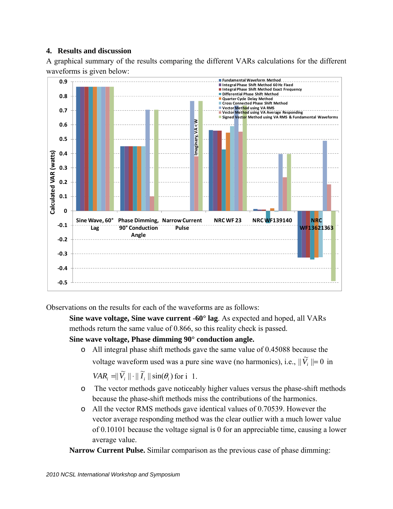## **4. Results and discussion**

A graphical summary of the results comparing the different VARs calculations for the different waveforms is given below:



Observations on the results for each of the waveforms are as follows:

**Sine wave voltage, Sine wave current -60° lag**. As expected and hoped, all VARs methods return the same value of 0.866, so this reality check is passed.

**Sine wave voltage, Phase dimming 90° conduction angle.**

o All integral phase shift methods gave the same value of 0.45088 because the voltage waveform used was a pure sine wave (no harmonics), i.e.,  $\|\widetilde{V}_i\| = 0$  in

 $VAR_i = ||\widetilde{V}_i|| \cdot ||\widetilde{I}_i|| \sin(\theta_i)$  for i 1.

- o The vector methods gave noticeably higher values versus the phase-shift methods because the phase-shift methods miss the contributions of the harmonics.
- o All the vector RMS methods gave identical values of 0.70539. However the vector average responding method was the clear outlier with a much lower value of 0.10101 because the voltage signal is 0 for an appreciable time, causing a lower average value.

**Narrow Current Pulse.** Similar comparison as the previous case of phase dimming: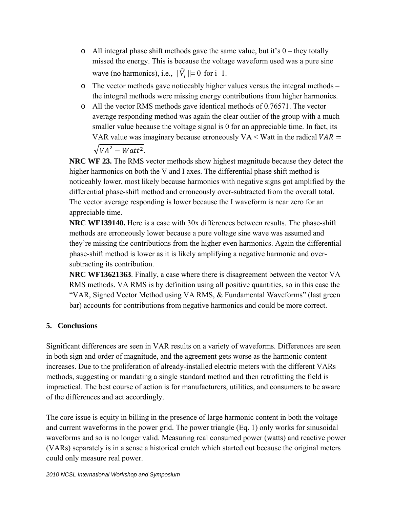- $\circ$  All integral phase shift methods gave the same value, but it's 0 they totally missed the energy. This is because the voltage waveform used was a pure sine wave (no harmonics), i.e.,  $\|\widetilde{V}_i\| = 0$  for i 1.
- o The vector methods gave noticeably higher values versus the integral methods the integral methods were missing energy contributions from higher harmonics.
- o All the vector RMS methods gave identical methods of 0.76571. The vector average responding method was again the clear outlier of the group with a much smaller value because the voltage signal is 0 for an appreciable time. In fact, its VAR value was imaginary because erroneously VA  $\leq$  Watt in the radical VAR  $=$  $\sqrt{VA^2-Watt^2}$ .

**NRC WF 23.** The RMS vector methods show highest magnitude because they detect the higher harmonics on both the V and I axes. The differential phase shift method is noticeably lower, most likely because harmonics with negative signs got amplified by the differential phase-shift method and erroneously over-subtracted from the overall total. The vector average responding is lower because the I waveform is near zero for an appreciable time.

**NRC WF139140.** Here is a case with 30x differences between results. The phase-shift methods are erroneously lower because a pure voltage sine wave was assumed and they're missing the contributions from the higher even harmonics. Again the differential phase-shift method is lower as it is likely amplifying a negative harmonic and oversubtracting its contribution.

**NRC WF13621363**. Finally, a case where there is disagreement between the vector VA RMS methods. VA RMS is by definition using all positive quantities, so in this case the "VAR, Signed Vector Method using VA RMS, & Fundamental Waveforms" (last green bar) accounts for contributions from negative harmonics and could be more correct.

# **5. Conclusions**

Significant differences are seen in VAR results on a variety of waveforms. Differences are seen in both sign and order of magnitude, and the agreement gets worse as the harmonic content increases. Due to the proliferation of already-installed electric meters with the different VARs methods, suggesting or mandating a single standard method and then retrofitting the field is impractical. The best course of action is for manufacturers, utilities, and consumers to be aware of the differences and act accordingly.

The core issue is equity in billing in the presence of large harmonic content in both the voltage and current waveforms in the power grid. The power triangle (Eq. 1) only works for sinusoidal waveforms and so is no longer valid. Measuring real consumed power (watts) and reactive power (VARs) separately is in a sense a historical crutch which started out because the original meters could only measure real power.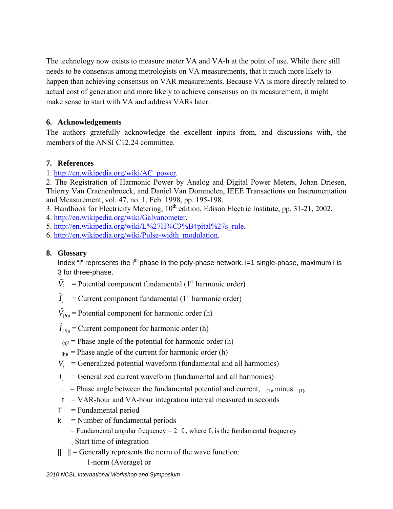The technology now exists to measure meter VA and VA-h at the point of use. While there still needs to be consensus among metrologists on VA measurements, that it much more likely to happen than achieving consensus on VAR measurements. Because VA is more directly related to actual cost of generation and more likely to achieve consensus on its measurement, it might make sense to start with VA and address VARs later.

# **6. Acknowledgements**

The authors gratefully acknowledge the excellent inputs from, and discussions with, the members of the ANSI C12.24 committee.

# **7. References**

1. http://en.wikipedia.org/wiki/AC\_power.

2. The Registration of Harmonic Power by Analog and Digital Power Meters, Johan Driesen, Thierry Van Craenenbroeck, and Daniel Van Dommelen, IEEE Transactions on Instrumentation and Measurement, vol. 47, no. 1, Feb. 1998, pp. 195-198.

3. Handbook for Electricity Metering, 10<sup>th</sup> edition, Edison Electric Institute, pp. 31-21, 2002.

4. http://en.wikipedia.org/wiki/Galvanometer.

- 5. http://en.wikipedia.org/wiki/L%27H%C3%B4pital%27s\_rule.
- 6. http://en.wikipedia.org/wiki/Pulse-width\_modulation.

# **8. Glossary**

Index "i" represents the i<sup>th</sup> phase in the poly-phase network.  $i=1$  single-phase, maximum i is 3 for three-phase.

- $\widetilde{V}_i$  = Potential component fundamental (1<sup>st</sup> harmonic order)
- $\widetilde{I}_i$  = Current component fundamental (1<sup>st</sup> harmonic order)
- $\hat{V}_{(h)i}$  = Potential component for harmonic order (h)
- $\hat{I}_{(h)i}$  = Current component for harmonic order (h)
- $_{(h)i}$  = Phase angle of the potential for harmonic order (h)
- $_{(h)i}$  = Phase angle of the current for harmonic order (h)
- $V_i$  = Generalized potential waveform (fundamental and all harmonics)
- $I_i$  = Generalized current waveform (fundamental and all harmonics)
- $\hat{i}$  = Phase angle between the fundamental potential and current,  $\hat{i}$ <sup>1)</sup>*i* minus (1)*i*
- $t = VAR$ -hour and VA-hour integration interval measured in seconds
- $T =$  Fundamental period
- $k$  = Number of fundamental periods
	- = Fundamental angular frequency =  $2 f_0$ , where  $f_0$  is the fundamental frequency
	- = Start time of integration
- $|| \t|| =$  Generally represents the norm of the wave function:

1-norm (Average) or